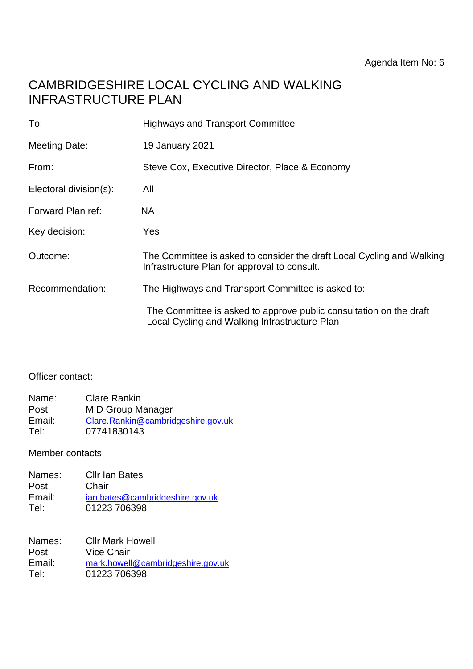# CAMBRIDGESHIRE LOCAL CYCLING AND WALKING INFRASTRUCTURE PLAN

| To:                    | <b>Highways and Transport Committee</b>                                                                                |
|------------------------|------------------------------------------------------------------------------------------------------------------------|
| <b>Meeting Date:</b>   | 19 January 2021                                                                                                        |
| From:                  | Steve Cox, Executive Director, Place & Economy                                                                         |
| Electoral division(s): | All                                                                                                                    |
| Forward Plan ref:      | NA.                                                                                                                    |
| Key decision:          | Yes                                                                                                                    |
| Outcome:               | The Committee is asked to consider the draft Local Cycling and Walking<br>Infrastructure Plan for approval to consult. |
| Recommendation:        | The Highways and Transport Committee is asked to:                                                                      |
|                        | The Committee is asked to approve public consultation on the draft<br>Local Cycling and Walking Infrastructure Plan    |

#### Officer contact:

| Name:  | <b>Clare Rankin</b>                |
|--------|------------------------------------|
| Post:  | <b>MID Group Manager</b>           |
| Email: | Clare.Rankin@cambridgeshire.gov.uk |
| Tel:   | 07741830143                        |

Member contacts:

| Names: | <b>Cllr Ian Bates</b>           |
|--------|---------------------------------|
| Post:  | Chair                           |
| Email: | ian.bates@cambridgeshire.gov.uk |
| Tel:   | 01223 706398                    |

| Names: | <b>Cllr Mark Howell</b>           |
|--------|-----------------------------------|
| Post:  | Vice Chair                        |
| Email: | mark.howell@cambridgeshire.gov.uk |
| Tel:   | 01223 706398                      |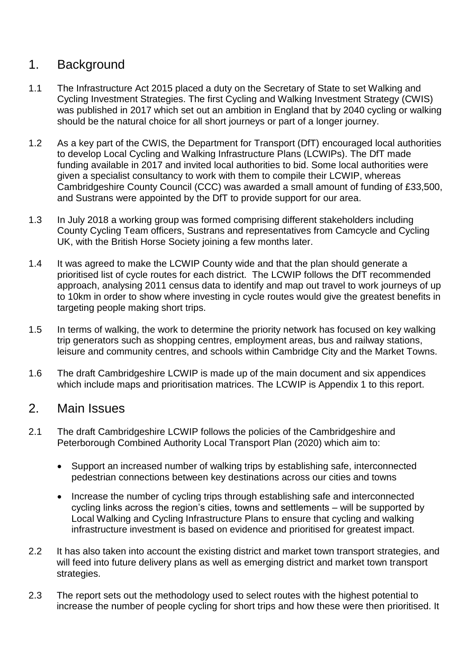## 1. Background

- 1.1 The Infrastructure Act 2015 placed a duty on the Secretary of State to set Walking and Cycling Investment Strategies. The first Cycling and Walking Investment Strategy (CWIS) was published in 2017 which set out an ambition in England that by 2040 cycling or walking should be the natural choice for all short journeys or part of a longer journey.
- 1.2 As a key part of the CWIS, the Department for Transport (DfT) encouraged local authorities to develop Local Cycling and Walking Infrastructure Plans (LCWIPs). The DfT made funding available in 2017 and invited local authorities to bid. Some local authorities were given a specialist consultancy to work with them to compile their LCWIP, whereas Cambridgeshire County Council (CCC) was awarded a small amount of funding of £33,500, and Sustrans were appointed by the DfT to provide support for our area.
- 1.3 In July 2018 a working group was formed comprising different stakeholders including County Cycling Team officers, Sustrans and representatives from Camcycle and Cycling UK, with the British Horse Society joining a few months later.
- 1.4 It was agreed to make the LCWIP County wide and that the plan should generate a prioritised list of cycle routes for each district. The LCWIP follows the DfT recommended approach, analysing 2011 census data to identify and map out travel to work journeys of up to 10km in order to show where investing in cycle routes would give the greatest benefits in targeting people making short trips.
- 1.5 In terms of walking, the work to determine the priority network has focused on key walking trip generators such as shopping centres, employment areas, bus and railway stations, leisure and community centres, and schools within Cambridge City and the Market Towns.
- 1.6 The draft Cambridgeshire LCWIP is made up of the main document and six appendices which include maps and prioritisation matrices. The LCWIP is Appendix 1 to this report.

### 2. Main Issues

- 2.1 The draft Cambridgeshire LCWIP follows the policies of the Cambridgeshire and Peterborough Combined Authority Local Transport Plan (2020) which aim to:
	- Support an increased number of walking trips by establishing safe, interconnected pedestrian connections between key destinations across our cities and towns
	- Increase the number of cycling trips through establishing safe and interconnected cycling links across the region's cities, towns and settlements – will be supported by Local Walking and Cycling Infrastructure Plans to ensure that cycling and walking infrastructure investment is based on evidence and prioritised for greatest impact.
- 2.2 It has also taken into account the existing district and market town transport strategies, and will feed into future delivery plans as well as emerging district and market town transport strategies.
- 2.3 The report sets out the methodology used to select routes with the highest potential to increase the number of people cycling for short trips and how these were then prioritised. It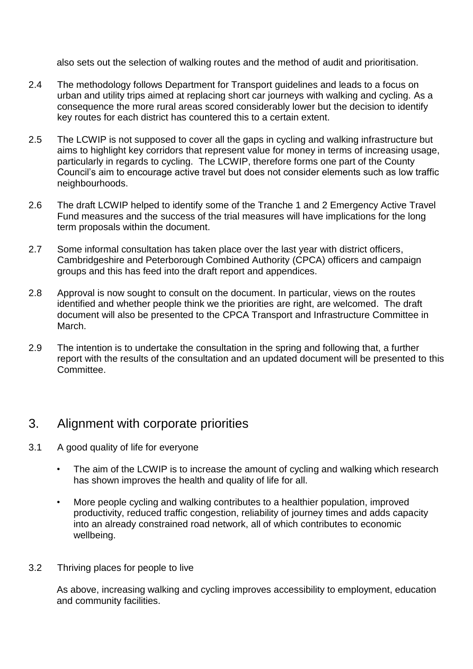also sets out the selection of walking routes and the method of audit and prioritisation.

- 2.4 The methodology follows Department for Transport guidelines and leads to a focus on urban and utility trips aimed at replacing short car journeys with walking and cycling. As a consequence the more rural areas scored considerably lower but the decision to identify key routes for each district has countered this to a certain extent.
- 2.5 The LCWIP is not supposed to cover all the gaps in cycling and walking infrastructure but aims to highlight key corridors that represent value for money in terms of increasing usage, particularly in regards to cycling. The LCWIP, therefore forms one part of the County Council's aim to encourage active travel but does not consider elements such as low traffic neighbourhoods.
- 2.6 The draft LCWIP helped to identify some of the Tranche 1 and 2 Emergency Active Travel Fund measures and the success of the trial measures will have implications for the long term proposals within the document.
- 2.7 Some informal consultation has taken place over the last year with district officers, Cambridgeshire and Peterborough Combined Authority (CPCA) officers and campaign groups and this has feed into the draft report and appendices.
- 2.8 Approval is now sought to consult on the document. In particular, views on the routes identified and whether people think we the priorities are right, are welcomed. The draft document will also be presented to the CPCA Transport and Infrastructure Committee in March.
- 2.9 The intention is to undertake the consultation in the spring and following that, a further report with the results of the consultation and an updated document will be presented to this Committee.

### 3. Alignment with corporate priorities

- 3.1 A good quality of life for everyone
	- The aim of the LCWIP is to increase the amount of cycling and walking which research has shown improves the health and quality of life for all.
	- More people cycling and walking contributes to a healthier population, improved productivity, reduced traffic congestion, reliability of journey times and adds capacity into an already constrained road network, all of which contributes to economic wellbeing.
- 3.2 Thriving places for people to live

As above, increasing walking and cycling improves accessibility to employment, education and community facilities.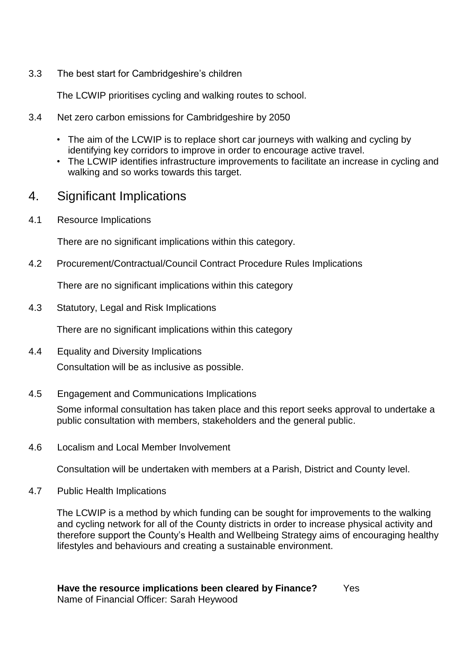3.3 The best start for Cambridgeshire's children

The LCWIP prioritises cycling and walking routes to school.

- 3.4 Net zero carbon emissions for Cambridgeshire by 2050
	- The aim of the LCWIP is to replace short car journeys with walking and cycling by identifying key corridors to improve in order to encourage active travel.
	- The LCWIP identifies infrastructure improvements to facilitate an increase in cycling and walking and so works towards this target.

#### 4. Significant Implications

4.1 Resource Implications

There are no significant implications within this category.

4.2 Procurement/Contractual/Council Contract Procedure Rules Implications

There are no significant implications within this category

4.3 Statutory, Legal and Risk Implications

There are no significant implications within this category

- 4.4 Equality and Diversity Implications Consultation will be as inclusive as possible.
- 4.5 Engagement and Communications Implications

Some informal consultation has taken place and this report seeks approval to undertake a public consultation with members, stakeholders and the general public.

4.6 Localism and Local Member Involvement

Consultation will be undertaken with members at a Parish, District and County level.

4.7 Public Health Implications

The LCWIP is a method by which funding can be sought for improvements to the walking and cycling network for all of the County districts in order to increase physical activity and therefore support the County's Health and Wellbeing Strategy aims of encouraging healthy lifestyles and behaviours and creating a sustainable environment.